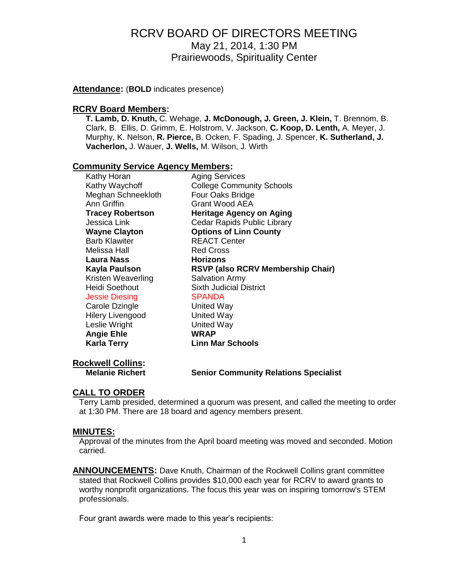**Attendance:** (**BOLD** indicates presence)

#### **RCRV Board Members:**

**T. Lamb, D. Knuth,** C. Wehage, **J. McDonough, J. Green, J. Klein,** T. Brennom, B. Clark, B. Ellis, D. Grimm, E. Holstrom, V. Jackson, **C. Koop, D. Lenth,** A. Meyer, J. Murphy, K. Nelson, **R. Pierce,** B. Ocken, F. Spading, J. Spencer, **K. Sutherland, J. Vacherlon,** J. Wauer, **J. Wells,** M. Wilson, J. Wirth

#### **Community Service Agency Members:**

| Kathy Horan             | <b>Aging Services</b>                    |
|-------------------------|------------------------------------------|
| Kathy Waychoff          | <b>College Community Schools</b>         |
| Meghan Schneekloth      | Four Oaks Bridge                         |
| Ann Griffin             | Grant Wood AEA                           |
| <b>Tracey Robertson</b> | <b>Heritage Agency on Aging</b>          |
| Jessica Link            | Cedar Rapids Public Library              |
| <b>Wayne Clayton</b>    | <b>Options of Linn County</b>            |
| <b>Barb Klawiter</b>    | <b>REACT Center</b>                      |
| Melissa Hall            | <b>Red Cross</b>                         |
| Laura Nass              | <b>Horizons</b>                          |
|                         |                                          |
| <b>Kayla Paulson</b>    | <b>RSVP (also RCRV Membership Chair)</b> |
| Kristen Weaverling      | <b>Salvation Army</b>                    |
| <b>Heidi Soethout</b>   | <b>Sixth Judicial District</b>           |
| <b>Jessie Diesing</b>   | <b>SPANDA</b>                            |
| Carole Dzingle          | <b>United Way</b>                        |
| <b>Hilery Livengood</b> | <b>United Way</b>                        |
| Leslie Wright           | <b>United Way</b>                        |
| <b>Angie Ehle</b>       | <b>WRAP</b>                              |
| <b>Karla Terry</b>      | <b>Linn Mar Schools</b>                  |

# **Rockwell Collins:**

**Melanie Richert Senior Community Relations Specialist**

# **CALL TO ORDER**

Terry Lamb presided, determined a quorum was present, and called the meeting to order at 1:30 PM. There are 18 board and agency members present.

#### **MINUTES:**

Approval of the minutes from the April board meeting was moved and seconded. Motion carried.

**ANNOUNCEMENTS:** Dave Knuth, Chairman of the Rockwell Collins grant committee stated that Rockwell Collins provides \$10,000 each year for RCRV to award grants to worthy nonprofit organizations. The focus this year was on inspiring tomorrow's STEM professionals.

Four grant awards were made to this year's recipients: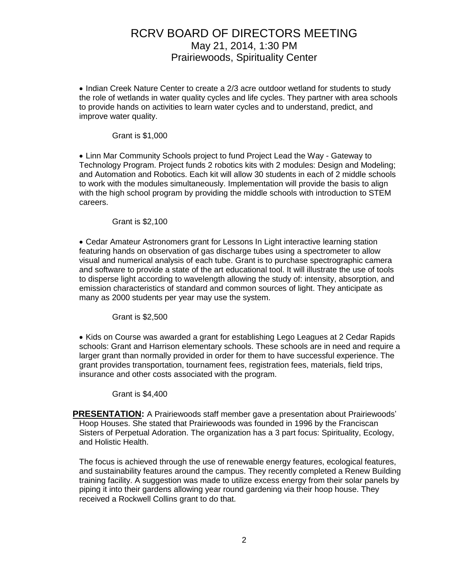• Indian Creek Nature Center to create a 2/3 acre outdoor wetland for students to study the role of wetlands in water quality cycles and life cycles. They partner with area schools to provide hands on activities to learn water cycles and to understand, predict, and improve water quality.

#### Grant is \$1,000

 Linn Mar Community Schools project to fund Project Lead the Way - Gateway to Technology Program. Project funds 2 robotics kits with 2 modules: Design and Modeling; and Automation and Robotics. Each kit will allow 30 students in each of 2 middle schools to work with the modules simultaneously. Implementation will provide the basis to align with the high school program by providing the middle schools with introduction to STEM careers.

#### Grant is \$2,100

 Cedar Amateur Astronomers grant for Lessons In Light interactive learning station featuring hands on observation of gas discharge tubes using a spectrometer to allow visual and numerical analysis of each tube. Grant is to purchase spectrographic camera and software to provide a state of the art educational tool. It will illustrate the use of tools to disperse light according to wavelength allowing the study of: intensity, absorption, and emission characteristics of standard and common sources of light. They anticipate as many as 2000 students per year may use the system.

#### Grant is \$2,500

• Kids on Course was awarded a grant for establishing Lego Leagues at 2 Cedar Rapids schools: Grant and Harrison elementary schools. These schools are in need and require a larger grant than normally provided in order for them to have successful experience. The grant provides transportation, tournament fees, registration fees, materials, field trips, insurance and other costs associated with the program.

#### Grant is \$4,400

**PRESENTATION:** A Prairiewoods staff member gave a presentation about Prairiewoods' Hoop Houses. She stated that Prairiewoods was founded in 1996 by the Franciscan Sisters of Perpetual Adoration. The organization has a 3 part focus: Spirituality, Ecology, and Holistic Health.

The focus is achieved through the use of renewable energy features, ecological features, and sustainability features around the campus. They recently completed a Renew Building training facility. A suggestion was made to utilize excess energy from their solar panels by piping it into their gardens allowing year round gardening via their hoop house. They received a Rockwell Collins grant to do that.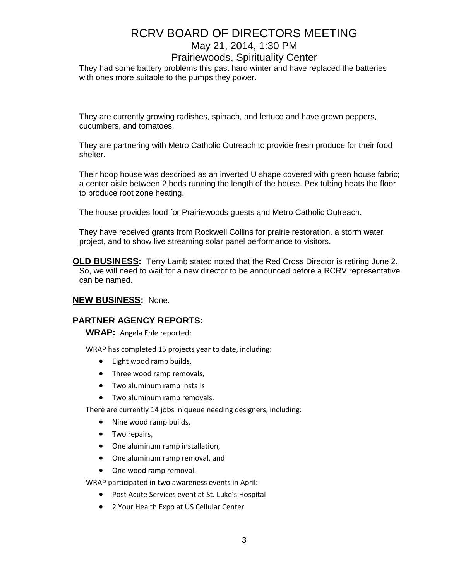# RCRV BOARD OF DIRECTORS MEETING May 21, 2014, 1:30 PM

### Prairiewoods, Spirituality Center

They had some battery problems this past hard winter and have replaced the batteries with ones more suitable to the pumps they power.

They are currently growing radishes, spinach, and lettuce and have grown peppers, cucumbers, and tomatoes.

They are partnering with Metro Catholic Outreach to provide fresh produce for their food shelter.

Their hoop house was described as an inverted U shape covered with green house fabric; a center aisle between 2 beds running the length of the house. Pex tubing heats the floor to produce root zone heating.

The house provides food for Prairiewoods guests and Metro Catholic Outreach.

They have received grants from Rockwell Collins for prairie restoration, a storm water project, and to show live streaming solar panel performance to visitors.

**OLD BUSINESS:** Terry Lamb stated noted that the Red Cross Director is retiring June 2. So, we will need to wait for a new director to be announced before a RCRV representative can be named.

#### **NEW BUSINESS:** None.

#### **PARTNER AGENCY REPORTS:**

**WRAP:** Angela Ehle reported:

WRAP has completed 15 projects year to date, including:

- Eight wood ramp builds,
- Three wood ramp removals,
- Two aluminum ramp installs
- Two aluminum ramp removals.

There are currently 14 jobs in queue needing designers, including:

- Nine wood ramp builds,
- Two repairs,
- One aluminum ramp installation,
- One aluminum ramp removal, and
- One wood ramp removal.

WRAP participated in two awareness events in April:

- Post Acute Services event at St. Luke's Hospital
- 2 Your Health Expo at US Cellular Center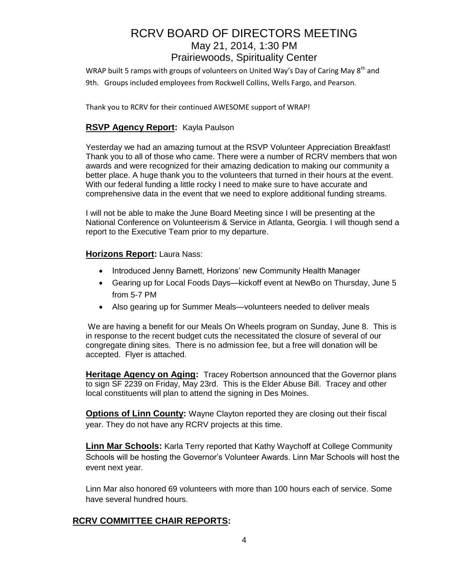WRAP built 5 ramps with groups of volunteers on United Way's Day of Caring May 8<sup>th</sup> and 9th. Groups included employees from Rockwell Collins, Wells Fargo, and Pearson.

Thank you to RCRV for their continued AWESOME support of WRAP!

# **RSVP Agency Report:** Kayla Paulson

Yesterday we had an amazing turnout at the RSVP Volunteer Appreciation Breakfast! Thank you to all of those who came. There were a number of RCRV members that won awards and were recognized for their amazing dedication to making our community a better place. A huge thank you to the volunteers that turned in their hours at the event. With our federal funding a little rocky I need to make sure to have accurate and comprehensive data in the event that we need to explore additional funding streams.

I will not be able to make the June Board Meeting since I will be presenting at the National Conference on Volunteerism & Service in Atlanta, Georgia. I will though send a report to the Executive Team prior to my departure.

### **Horizons Report:** Laura Nass:

- Introduced Jenny Barnett, Horizons' new Community Health Manager
- Gearing up for Local Foods Days—kickoff event at NewBo on Thursday, June 5 from 5-7 PM
- Also gearing up for Summer Meals—volunteers needed to deliver meals

We are having a benefit for our Meals On Wheels program on Sunday, June 8. This is in response to the recent budget cuts the necessitated the closure of several of our congregate dining sites. There is no admission fee, but a free will donation will be accepted. Flyer is attached.

**Heritage Agency on Aging:** Tracey Robertson announced that the Governor plans to sign SF 2239 on Friday, May 23rd. This is the Elder Abuse Bill. Tracey and other local constituents will plan to attend the signing in Des Moines.

**Options of Linn County:** Wayne Clayton reported they are closing out their fiscal year. They do not have any RCRV projects at this time.

**Linn Mar Schools:** Karla Terry reported that Kathy Waychoff at College Community Schools will be hosting the Governor's Volunteer Awards. Linn Mar Schools will host the event next year.

Linn Mar also honored 69 volunteers with more than 100 hours each of service. Some have several hundred hours.

## **RCRV COMMITTEE CHAIR REPORTS:**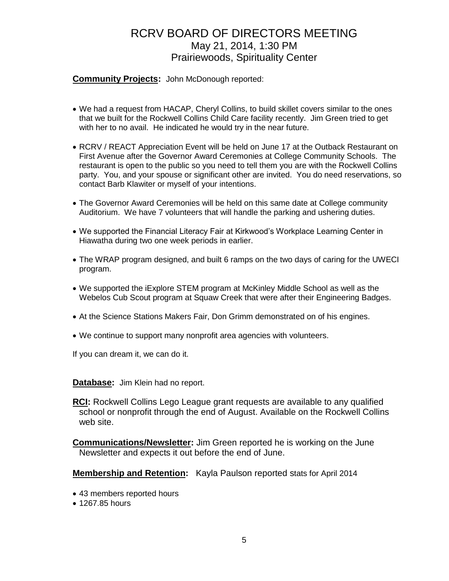### **Community Projects:** John McDonough reported:

- We had a request from HACAP, Cheryl Collins, to build skillet covers similar to the ones that we built for the Rockwell Collins Child Care facility recently. Jim Green tried to get with her to no avail. He indicated he would try in the near future.
- RCRV / REACT Appreciation Event will be held on June 17 at the Outback Restaurant on First Avenue after the Governor Award Ceremonies at College Community Schools. The restaurant is open to the public so you need to tell them you are with the Rockwell Collins party. You, and your spouse or significant other are invited. You do need reservations, so contact Barb Klawiter or myself of your intentions.
- The Governor Award Ceremonies will be held on this same date at College community Auditorium. We have 7 volunteers that will handle the parking and ushering duties.
- We supported the Financial Literacy Fair at Kirkwood's Workplace Learning Center in Hiawatha during two one week periods in earlier.
- The WRAP program designed, and built 6 ramps on the two days of caring for the UWECI program.
- We supported the iExplore STEM program at McKinley Middle School as well as the Webelos Cub Scout program at Squaw Creek that were after their Engineering Badges.
- At the Science Stations Makers Fair, Don Grimm demonstrated on of his engines.
- We continue to support many nonprofit area agencies with volunteers.

If you can dream it, we can do it.

**Database:** Jim Klein had no report.

**RCI:** Rockwell Collins Lego League grant requests are available to any qualified school or nonprofit through the end of August. Available on the Rockwell Collins web site.

**Communications/Newsletter:** Jim Green reported he is working on the June Newsletter and expects it out before the end of June.

**Membership and Retention:** Kayla Paulson reported stats for April 2014

- 43 members reported hours
- 1267.85 hours